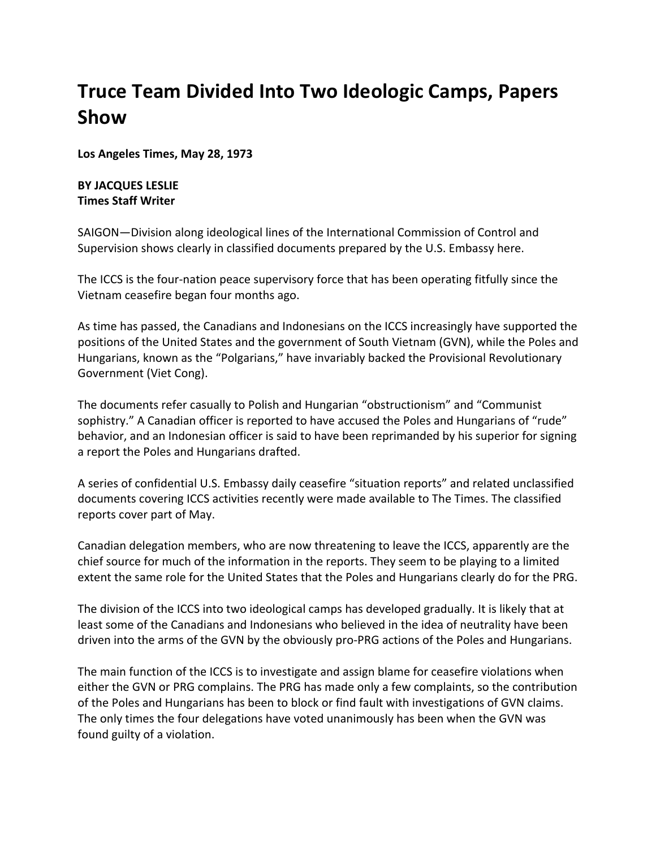## **Truce Team Divided Into Two Ideologic Camps, Papers Show**

**Los Angeles Times, May 28, 1973**

## **BY JACQUES LESLIE Times Staff Writer**

SAIGON—Division along ideological lines of the International Commission of Control and Supervision shows clearly in classified documents prepared by the U.S. Embassy here.

The ICCS is the four-nation peace supervisory force that has been operating fitfully since the Vietnam ceasefire began four months ago.

As time has passed, the Canadians and Indonesians on the ICCS increasingly have supported the positions of the United States and the government of South Vietnam (GVN), while the Poles and Hungarians, known as the "Polgarians," have invariably backed the Provisional Revolutionary Government (Viet Cong).

The documents refer casually to Polish and Hungarian "obstructionism" and "Communist sophistry." A Canadian officer is reported to have accused the Poles and Hungarians of "rude" behavior, and an Indonesian officer is said to have been reprimanded by his superior for signing a report the Poles and Hungarians drafted.

A series of confidential U.S. Embassy daily ceasefire "situation reports" and related unclassified documents covering ICCS activities recently were made available to The Times. The classified reports cover part of May.

Canadian delegation members, who are now threatening to leave the ICCS, apparently are the chief source for much of the information in the reports. They seem to be playing to a limited extent the same role for the United States that the Poles and Hungarians clearly do for the PRG.

The division of the ICCS into two ideological camps has developed gradually. It is likely that at least some of the Canadians and Indonesians who believed in the idea of neutrality have been driven into the arms of the GVN by the obviously pro-PRG actions of the Poles and Hungarians.

The main function of the ICCS is to investigate and assign blame for ceasefire violations when either the GVN or PRG complains. The PRG has made only a few complaints, so the contribution of the Poles and Hungarians has been to block or find fault with investigations of GVN claims. The only times the four delegations have voted unanimously has been when the GVN was found guilty of a violation.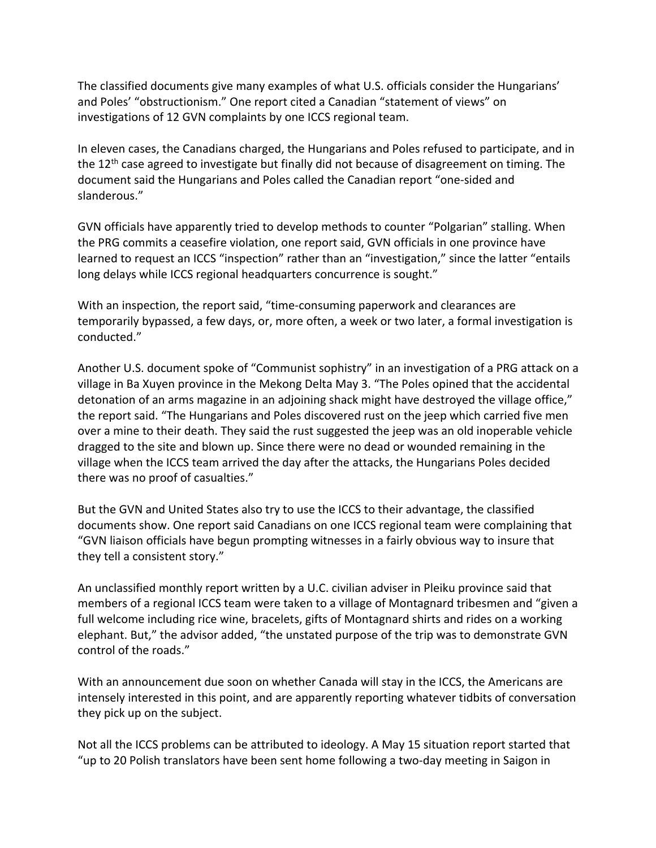The classified documents give many examples of what U.S. officials consider the Hungarians' and Poles' "obstructionism." One report cited a Canadian "statement of views" on investigations of 12 GVN complaints by one ICCS regional team.

In eleven cases, the Canadians charged, the Hungarians and Poles refused to participate, and in the 12<sup>th</sup> case agreed to investigate but finally did not because of disagreement on timing. The document said the Hungarians and Poles called the Canadian report "one-sided and slanderous."

GVN officials have apparently tried to develop methods to counter "Polgarian" stalling. When the PRG commits a ceasefire violation, one report said, GVN officials in one province have learned to request an ICCS "inspection" rather than an "investigation," since the latter "entails long delays while ICCS regional headquarters concurrence is sought."

With an inspection, the report said, "time-consuming paperwork and clearances are temporarily bypassed, a few days, or, more often, a week or two later, a formal investigation is conducted."

Another U.S. document spoke of "Communist sophistry" in an investigation of a PRG attack on a village in Ba Xuyen province in the Mekong Delta May 3. "The Poles opined that the accidental detonation of an arms magazine in an adjoining shack might have destroyed the village office," the report said. "The Hungarians and Poles discovered rust on the jeep which carried five men over a mine to their death. They said the rust suggested the jeep was an old inoperable vehicle dragged to the site and blown up. Since there were no dead or wounded remaining in the village when the ICCS team arrived the day after the attacks, the Hungarians Poles decided there was no proof of casualties."

But the GVN and United States also try to use the ICCS to their advantage, the classified documents show. One report said Canadians on one ICCS regional team were complaining that "GVN liaison officials have begun prompting witnesses in a fairly obvious way to insure that they tell a consistent story."

An unclassified monthly report written by a U.C. civilian adviser in Pleiku province said that members of a regional ICCS team were taken to a village of Montagnard tribesmen and "given a full welcome including rice wine, bracelets, gifts of Montagnard shirts and rides on a working elephant. But," the advisor added, "the unstated purpose of the trip was to demonstrate GVN control of the roads."

With an announcement due soon on whether Canada will stay in the ICCS, the Americans are intensely interested in this point, and are apparently reporting whatever tidbits of conversation they pick up on the subject.

Not all the ICCS problems can be attributed to ideology. A May 15 situation report started that "up to 20 Polish translators have been sent home following a two-day meeting in Saigon in